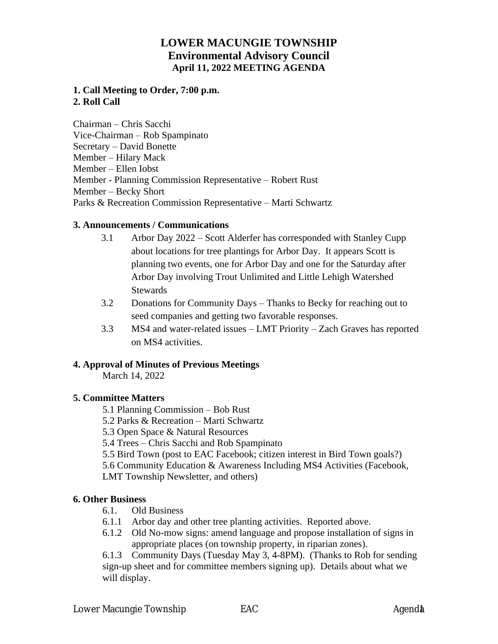# **LOWER MACUNGIE TOWNSHIP Environmental Advisory Council April 11, 2022 MEETING AGENDA**

### **1. Call Meeting to Order, 7:00 p.m. 2. Roll Call**

Chairman – Chris Sacchi Vice-Chairman – Rob Spampinato Secretary – David Bonette Member – Hilary Mack Member – Ellen Iobst Member - Planning Commission Representative – Robert Rust Member – Becky Short Parks & Recreation Commission Representative – Marti Schwartz

#### **3. Announcements / Communications**

- 3.1 Arbor Day 2022 Scott Alderfer has corresponded with Stanley Cupp about locations for tree plantings for Arbor Day. It appears Scott is planning two events, one for Arbor Day and one for the Saturday after Arbor Day involving Trout Unlimited and Little Lehigh Watershed **Stewards**
- 3.2 Donations for Community Days Thanks to Becky for reaching out to seed companies and getting two favorable responses.
- 3.3 MS4 and water-related issues LMT Priority Zach Graves has reported on MS4 activities.

### **4. Approval of Minutes of Previous Meetings**

March 14, 2022

### **5. Committee Matters**

- 5.1 Planning Commission Bob Rust
- 5.2 Parks & Recreation Marti Schwartz
- 5.3 Open Space & Natural Resources
- 5.4 Trees Chris Sacchi and Rob Spampinato
- 5.5 Bird Town (post to EAC Facebook; citizen interest in Bird Town goals?)
- 5.6 Community Education & Awareness Including MS4 Activities (Facebook,

LMT Township Newsletter, and others)

### **6. Other Business**

- 6.1. Old Business
- 6.1.1 Arbor day and other tree planting activities. Reported above.
- 6.1.2 Old No-mow signs: amend language and propose installation of signs in appropriate places (on township property, in riparian zones).

6.1.3 Community Days (Tuesday May 3, 4-8PM). (Thanks to Rob for sending sign-up sheet and for committee members signing up). Details about what we will display.